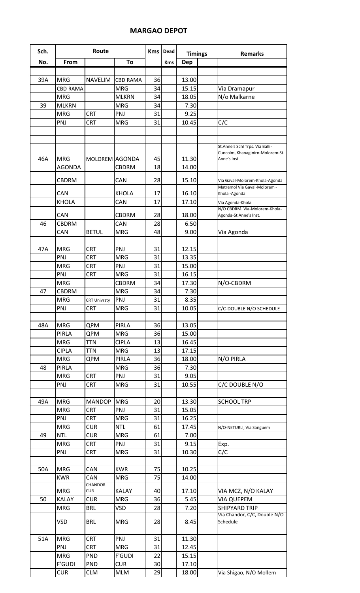## **MARGAO DEPOT**

| Sch. |                   | Route                             |                          |          | <b>Dead</b> | <b>Timings</b> |  | <b>Remarks</b>                                  |
|------|-------------------|-----------------------------------|--------------------------|----------|-------------|----------------|--|-------------------------------------------------|
| No.  | From              |                                   | To                       |          | Kms         | Dep            |  |                                                 |
|      |                   |                                   |                          |          |             |                |  |                                                 |
| 39A  | <b>MRG</b>        | <b>NAVELIM</b>                    | <b>CBD RAMA</b>          | 36       |             | 13.00          |  |                                                 |
|      | <b>CBD RAMA</b>   |                                   | <b>MRG</b>               | 34       |             | 15.15          |  | Via Dramapur                                    |
|      | <b>MRG</b>        |                                   | <b>MLKRN</b>             | 34       |             | 18.05          |  | N/o Malkarne                                    |
| 39   | <b>MLKRN</b>      |                                   | <b>MRG</b>               | 34       |             | 7.30           |  |                                                 |
|      | <b>MRG</b>        | <b>CRT</b>                        | PNJ                      | 31       |             | 9.25           |  |                                                 |
|      | PNJ               | <b>CRT</b>                        | <b>MRG</b>               | 31       |             | 10.45          |  | C/C                                             |
|      |                   |                                   |                          |          |             |                |  |                                                 |
|      |                   |                                   |                          |          |             |                |  |                                                 |
|      |                   |                                   |                          |          |             |                |  | St.Anne's Schl Trps. Via Balli-                 |
| 46A  | <b>MRG</b>        | MOLOREM AGONDA                    |                          | 45       |             | 11.30          |  | Cuncolm, Khanaginirn-Molorem-St.<br>Anne's Inst |
|      | AGONDA            |                                   | <b>CBDRM</b>             | 18       |             | 14.00          |  |                                                 |
|      |                   |                                   |                          |          |             |                |  |                                                 |
|      | <b>CBDRM</b>      |                                   | CAN                      | 28       |             | 15.10          |  | Via Gaval-Molorem-Khola-Agonda                  |
|      | CAN               |                                   | <b>KHOLA</b>             | 17       |             | 16.10          |  | Matremol Via Gaval-Molorem -<br>Khola-Agonda    |
|      | <b>KHOLA</b>      |                                   | CAN                      | 17       |             | 17.10          |  | Via Agonda-Khola                                |
|      |                   |                                   |                          |          |             |                |  | N/O CBDRM. Via-Molorem-Khola-                   |
|      | CAN               |                                   | <b>CBDRM</b>             | 28       |             | 18.00          |  | Agonda-St.Anne's Inst.                          |
| 46   | <b>CBDRM</b>      |                                   | CAN                      | 28       |             | 6.50           |  |                                                 |
|      | CAN               | <b>BETUL</b>                      | <b>MRG</b>               | 48       |             | 9.00           |  | Via Agonda                                      |
|      |                   |                                   |                          |          |             |                |  |                                                 |
| 47A  | <b>MRG</b>        | <b>CRT</b>                        | PNJ                      | 31       |             | 12.15          |  |                                                 |
|      | PNJ               | <b>CRT</b>                        | <b>MRG</b>               | 31       |             | 13.35          |  |                                                 |
|      | <b>MRG</b>        | <b>CRT</b>                        | PNJ                      | 31       |             | 15.00          |  |                                                 |
|      | PNJ               | <b>CRT</b>                        | <b>MRG</b>               | 31       |             | 16.15          |  |                                                 |
|      | <b>MRG</b>        |                                   | <b>CBDRM</b>             | 34       |             | 17.30          |  | N/O-CBDRM                                       |
| 47   | <b>CBDRM</b>      |                                   | <b>MRG</b>               | 34       |             | 7.30           |  |                                                 |
|      | <b>MRG</b><br>PNJ | <b>CRT Univrsty</b><br><b>CRT</b> | PNJ<br><b>MRG</b>        | 31<br>31 |             | 8.35<br>10.05  |  |                                                 |
|      |                   |                                   |                          |          |             |                |  | C/C-DOUBLE N/O SCHEDULE                         |
| 48A  | <b>MRG</b>        | QPM                               | PIRLA                    | 36       |             | 13.05          |  |                                                 |
|      | <b>PIRLA</b>      | QPM                               | <b>MRG</b>               | 36       |             | 15.00          |  |                                                 |
|      | <b>MRG</b>        | <b>TTN</b>                        | <b>CIPLA</b>             | 13       |             | 16.45          |  |                                                 |
|      | <b>CIPLA</b>      | <b>TTN</b>                        | <b>MRG</b>               | 13       |             | 17.15          |  |                                                 |
|      | <b>MRG</b>        | QPM                               | PIRLA                    | 36       |             | 18.00          |  | N/O PIRLA                                       |
| 48   | PIRLA             |                                   | <b>MRG</b>               | 36       |             | 7.30           |  |                                                 |
|      | <b>MRG</b>        | <b>CRT</b>                        | PNJ                      | 31       |             | 9.05           |  |                                                 |
|      | PNJ               | <b>CRT</b>                        | <b>MRG</b>               | 31       |             | 10.55          |  | C/C DOUBLE N/O                                  |
|      |                   |                                   |                          |          |             |                |  |                                                 |
| 49A  | <b>MRG</b>        | <b>MANDOP</b>                     | <b>MRG</b>               | 20       |             | 13.30          |  | <b>SCHOOL TRP</b>                               |
|      | <b>MRG</b>        | <b>CRT</b>                        | PNJ                      | 31       |             | 15.05          |  |                                                 |
|      | PNJ               | <b>CRT</b>                        | <b>MRG</b>               | 31       |             | 16.25          |  |                                                 |
|      | <b>MRG</b>        | <b>CUR</b>                        | <b>NTL</b>               | 61       |             | 17.45          |  | N/O-NETURLI, Via Sanguem                        |
| 49   | <b>NTL</b>        | <b>CUR</b>                        | <b>MRG</b>               | 61       |             | 7.00           |  |                                                 |
|      | <b>MRG</b>        | <b>CRT</b>                        | PNJ                      | 31       |             | 9.15           |  | Exp.                                            |
|      | PNJ               | <b>CRT</b>                        | <b>MRG</b>               | 31       |             | 10.30          |  | C/C                                             |
|      |                   |                                   |                          |          |             |                |  |                                                 |
| 50A  | <b>MRG</b>        | CAN                               | <b>KWR</b>               | 75       |             | 10.25          |  |                                                 |
|      | <b>KWR</b>        | CAN<br><b>CHANDOR</b>             | <b>MRG</b>               | 75       |             | 14.00          |  |                                                 |
|      | <b>MRG</b>        | <b>CUR</b>                        | <b>KALAY</b>             | 40       |             | 17.10          |  | VIA MCZ, N/O KALAY                              |
| 50   | <b>KALAY</b>      | <b>CUR</b>                        | <b>MRG</b>               | 36       |             | 5.45           |  | <b>VIA QUEPEM</b>                               |
|      | <b>MRG</b>        | <b>BRL</b>                        | <b>VSD</b>               | 28       |             | 7.20           |  | <b>SHIPYARD TRIP</b>                            |
|      |                   |                                   |                          |          |             |                |  | Via Chandor, C/C, Double N/O                    |
|      | <b>VSD</b>        | <b>BRL</b>                        | <b>MRG</b>               | 28       |             | 8.45           |  | Schedule                                        |
|      |                   |                                   |                          |          |             |                |  |                                                 |
| 51A  | <b>MRG</b>        | <b>CRT</b>                        | PNJ                      | 31       |             | 11.30          |  |                                                 |
|      | PNJ               | <b>CRT</b>                        | <b>MRG</b>               | 31       |             | 12.45          |  |                                                 |
|      | <b>MRG</b>        | <b>PND</b>                        | <b>F'GUDI</b>            | 22       |             | 15.15          |  |                                                 |
|      | <b>F'GUDI</b>     | PND<br><b>CLM</b>                 | <b>CUR</b><br><b>MLM</b> | 30<br>29 |             | 17.10          |  |                                                 |
|      | <b>CUR</b>        |                                   |                          |          |             | 18.00          |  | Via Shigao, N/O Mollem                          |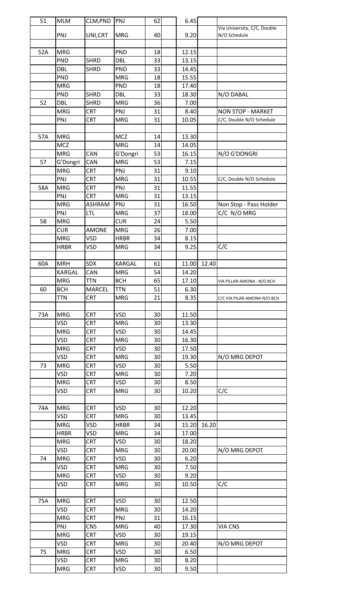| 51  | <b>MLM</b>  | CLM, PND      | PNJ         | 62 | 6.45  |       |                             |
|-----|-------------|---------------|-------------|----|-------|-------|-----------------------------|
|     |             |               |             |    |       |       | Via University, C/C, Double |
|     | PNJ         | UNI, CRT      | <b>MRG</b>  | 40 | 9.20  |       | N/O Schedule                |
|     |             |               |             |    |       |       |                             |
| 52A | <b>MRG</b>  |               | <b>PND</b>  | 18 | 12.15 |       |                             |
|     | PND         | <b>SHRD</b>   | <b>DBL</b>  | 33 | 13.15 |       |                             |
|     | <b>DBL</b>  | <b>SHRD</b>   | <b>PND</b>  | 33 | 14.45 |       |                             |
|     | PND         |               | <b>MRG</b>  | 18 | 15.55 |       |                             |
|     | <b>MRG</b>  |               | PND         | 18 | 17.40 |       |                             |
|     | <b>PND</b>  | <b>SHRD</b>   | DBL         | 33 | 18.30 |       | N/O DABAL                   |
| 52  | <b>DBL</b>  | <b>SHRD</b>   | <b>MRG</b>  | 36 | 7.00  |       |                             |
|     | <b>MRG</b>  | <b>CRT</b>    | PNJ         | 31 | 8.40  |       | <b>NON STOP - MARKET</b>    |
|     | PNJ         | <b>CRT</b>    | <b>MRG</b>  | 31 | 10.05 |       | C/C, Double N/O Schedule    |
|     |             |               |             |    |       |       |                             |
| 57A | <b>MRG</b>  |               | <b>MCZ</b>  | 14 | 13.30 |       |                             |
|     | <b>MCZ</b>  |               | <b>MRG</b>  | 14 | 14.05 |       |                             |
|     | <b>MRG</b>  | CAN           | G'Dongri    | 53 | 16.15 |       | N/O G'DONGRI                |
| 57  | G'Dongri    | CAN           | <b>MRG</b>  | 53 | 7.15  |       |                             |
|     | <b>MRG</b>  | <b>CRT</b>    | PNJ         | 31 | 9.10  |       |                             |
|     | PNJ         | <b>CRT</b>    | <b>MRG</b>  | 31 | 10.55 |       | C/C, Double N/O Schedule    |
| 58A | <b>MRG</b>  | <b>CRT</b>    | PNJ         | 31 | 11.55 |       |                             |
|     | PNJ         | <b>CRT</b>    | <b>MRG</b>  | 31 | 13.15 |       |                             |
|     | <b>MRG</b>  | <b>ASHRAM</b> | PNJ         | 31 | 16.50 |       |                             |
|     |             |               |             |    |       |       | Non Stop - Pass Holder      |
|     | PNJ         | <b>LTL</b>    | <b>MRG</b>  | 37 | 18.00 |       | C/C N/O MRG                 |
| 58  | <b>MRG</b>  |               | <b>CUR</b>  | 24 | 5.50  |       |                             |
|     | <b>CUR</b>  | <b>AMONE</b>  | <b>MRG</b>  | 26 | 7.00  |       |                             |
|     | <b>MRG</b>  | VSD           | <b>HRBR</b> | 34 | 8.15  |       |                             |
|     | <b>HRBR</b> | <b>VSD</b>    | <b>MRG</b>  | 34 | 9.25  |       | C/C                         |
|     |             |               |             |    |       |       |                             |
| 60A | <b>MRH</b>  | <b>SDX</b>    | KARGAL      | 61 | 11.00 | 12.40 |                             |
|     | KARGAL      | CAN           | <b>MRG</b>  | 54 | 14.20 |       |                             |
|     | <b>MRG</b>  | <b>TTN</b>    | <b>BCH</b>  | 65 | 17.10 |       | VIA PILLAR-AMONA - N/O BCH  |
| 60  | <b>BCH</b>  | <b>MARCEL</b> | <b>TTN</b>  | 51 | 6.30  |       |                             |
|     | <b>TTN</b>  | <b>CRT</b>    | <b>MRG</b>  | 21 | 8.35  |       | C/C VIA PILAR-AMONA-N/O BCH |
|     |             |               |             |    |       |       |                             |
| 73A | <b>MRG</b>  | <b>CRT</b>    | <b>VSD</b>  | 30 | 11.50 |       |                             |
|     | <b>VSD</b>  | <b>CRT</b>    | <b>MRG</b>  | 30 | 13.30 |       |                             |
|     | <b>MRG</b>  | <b>CRT</b>    | <b>VSD</b>  | 30 | 14.45 |       |                             |
|     | <b>VSD</b>  | <b>CRT</b>    | <b>MRG</b>  | 30 | 16.30 |       |                             |
|     | <b>MRG</b>  | <b>CRT</b>    | <b>VSD</b>  | 30 | 17.50 |       |                             |
|     | <b>VSD</b>  | <b>CRT</b>    | <b>MRG</b>  | 30 | 19.30 |       | N/O MRG DEPOT               |
|     |             |               |             |    |       |       |                             |
| 73  | <b>MRG</b>  | <b>CRT</b>    | <b>VSD</b>  | 30 | 5.50  |       |                             |
|     | <b>VSD</b>  | <b>CRT</b>    | <b>MRG</b>  | 30 | 7.20  |       |                             |
|     | <b>MRG</b>  | <b>CRT</b>    | <b>VSD</b>  | 30 | 8.50  |       |                             |
|     | VSD         | <b>CRT</b>    | <b>MRG</b>  | 30 | 10.20 |       | C/C                         |
|     |             |               |             |    |       |       |                             |
| 74A | <b>MRG</b>  | <b>CRT</b>    | <b>VSD</b>  | 30 | 12.20 |       |                             |
|     | <b>VSD</b>  | <b>CRT</b>    | <b>MRG</b>  | 30 | 13.45 |       |                             |
|     | <b>MRG</b>  | <b>VSD</b>    | <b>HRBR</b> | 34 | 15.20 | 16.20 |                             |
|     | <b>HRBR</b> | VSD           | <b>MRG</b>  | 34 | 17.00 |       |                             |
|     | <b>MRG</b>  | <b>CRT</b>    | <b>VSD</b>  | 30 | 18.20 |       |                             |
|     | <b>VSD</b>  | <b>CRT</b>    | <b>MRG</b>  | 30 | 20.00 |       | N/O MRG DEPOT               |
| 74  | <b>MRG</b>  | <b>CRT</b>    | <b>VSD</b>  | 30 | 6.20  |       |                             |
|     | <b>VSD</b>  | <b>CRT</b>    | <b>MRG</b>  | 30 | 7.50  |       |                             |
|     | <b>MRG</b>  | <b>CRT</b>    | <b>VSD</b>  | 30 | 9.20  |       |                             |
|     | <b>VSD</b>  | <b>CRT</b>    | <b>MRG</b>  | 30 | 10.50 |       | C/C                         |
|     |             |               |             |    |       |       |                             |
| 75A | <b>MRG</b>  | <b>CRT</b>    | <b>VSD</b>  | 30 | 12.50 |       |                             |
|     | <b>VSD</b>  | <b>CRT</b>    | <b>MRG</b>  | 30 | 14.20 |       |                             |
|     |             |               |             |    |       |       |                             |
|     | <b>MRG</b>  | <b>CRT</b>    | PNJ         | 31 | 16.15 |       |                             |
|     | PNJ         | <b>CNS</b>    | <b>MRG</b>  | 40 | 17.30 |       | <b>VIA CNS</b>              |
|     | <b>MRG</b>  | <b>CRT</b>    | <b>VSD</b>  | 30 | 19.15 |       |                             |
|     | <b>VSD</b>  | <b>CRT</b>    | <b>MRG</b>  | 30 | 20.40 |       | N/O MRG DEPOT               |
| 75  | <b>MRG</b>  | <b>CRT</b>    | VSD         | 30 | 6.50  |       |                             |
|     | <b>VSD</b>  | <b>CRT</b>    | <b>MRG</b>  | 30 | 8.20  |       |                             |
|     | <b>MRG</b>  | <b>CRT</b>    | <b>VSD</b>  | 30 | 9.50  |       |                             |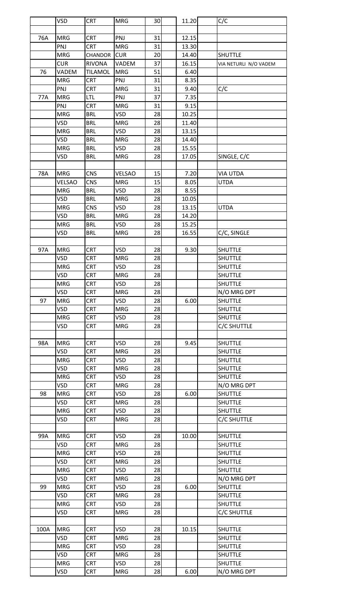|      | <b>VSD</b> | <b>CRT</b>     | <b>MRG</b>    | 30 | 11.20 | C/C                   |
|------|------------|----------------|---------------|----|-------|-----------------------|
|      |            |                |               |    |       |                       |
| 76A  | <b>MRG</b> | <b>CRT</b>     | PNJ           | 31 | 12.15 |                       |
|      | PNJ        | <b>CRT</b>     | <b>MRG</b>    | 31 | 13.30 |                       |
|      | <b>MRG</b> | CHANDOR        | <b>CUR</b>    | 20 | 14.40 | <b>SHUTTLE</b>        |
|      | <b>CUR</b> | <b>RIVONA</b>  | VADEM         | 37 | 16.15 | VIA NETURLI N/O VADEM |
| 76   | VADEM      | <b>TILAMOL</b> | <b>MRG</b>    | 51 | 6.40  |                       |
|      |            |                |               |    |       |                       |
|      | <b>MRG</b> | <b>CRT</b>     | PNJ           | 31 | 8.35  |                       |
|      | PNJ        | <b>CRT</b>     | <b>MRG</b>    | 31 | 9.40  | C/C                   |
| 77A  | <b>MRG</b> | LTL            | PNJ           | 37 | 7.35  |                       |
|      | PNJ        | <b>CRT</b>     | <b>MRG</b>    | 31 | 9.15  |                       |
|      | <b>MRG</b> | <b>BRL</b>     | <b>VSD</b>    | 28 | 10.25 |                       |
|      | <b>VSD</b> | <b>BRL</b>     | <b>MRG</b>    | 28 | 11.40 |                       |
|      | <b>MRG</b> | <b>BRL</b>     | <b>VSD</b>    | 28 | 13.15 |                       |
|      | <b>VSD</b> | <b>BRL</b>     | <b>MRG</b>    | 28 | 14.40 |                       |
|      | <b>MRG</b> | <b>BRL</b>     | <b>VSD</b>    | 28 | 15.55 |                       |
|      | VSD        | <b>BRL</b>     | <b>MRG</b>    | 28 | 17.05 | SINGLE, C/C           |
|      |            |                |               |    |       |                       |
| 78A  | <b>MRG</b> | <b>CNS</b>     | <b>VELSAO</b> | 15 | 7.20  | <b>VIA UTDA</b>       |
|      | VELSAO     | CNS            | <b>MRG</b>    | 15 | 8.05  | <b>UTDA</b>           |
|      | <b>MRG</b> | <b>BRL</b>     | <b>VSD</b>    | 28 | 8.55  |                       |
|      | VSD        | <b>BRL</b>     | <b>MRG</b>    | 28 | 10.05 |                       |
|      | <b>MRG</b> | <b>CNS</b>     | <b>VSD</b>    | 28 | 13.15 | <b>UTDA</b>           |
|      | VSD        | <b>BRL</b>     | <b>MRG</b>    | 28 | 14.20 |                       |
|      | <b>MRG</b> | <b>BRL</b>     | <b>VSD</b>    | 28 | 15.25 |                       |
|      | VSD        | <b>BRL</b>     | <b>MRG</b>    | 28 | 16.55 | C/C, SINGLE           |
|      |            |                |               |    |       |                       |
| 97A  | <b>MRG</b> | <b>CRT</b>     | <b>VSD</b>    | 28 | 9.30  | <b>SHUTTLE</b>        |
|      | <b>VSD</b> | <b>CRT</b>     | <b>MRG</b>    | 28 |       | <b>SHUTTLE</b>        |
|      | <b>MRG</b> | CRT            | VSD           | 28 |       | <b>SHUTTLE</b>        |
|      | VSD        | <b>CRT</b>     | <b>MRG</b>    | 28 |       | <b>SHUTTLE</b>        |
|      | <b>MRG</b> | <b>CRT</b>     | <b>VSD</b>    | 28 |       | <b>SHUTTLE</b>        |
|      | VSD        | <b>CRT</b>     | <b>MRG</b>    | 28 |       | N/O MRG DPT           |
| 97   | <b>MRG</b> | <b>CRT</b>     | <b>VSD</b>    | 28 | 6.00  | <b>SHUTTLE</b>        |
|      | <b>VSD</b> | <b>CRT</b>     | <b>MRG</b>    | 28 |       | <b>SHUTTLE</b>        |
|      | <b>MRG</b> | <b>CRT</b>     | <b>VSD</b>    | 28 |       | <b>SHUTTLE</b>        |
|      | <b>VSD</b> | $\mathsf{CRT}$ | <b>MRG</b>    | 28 |       | <b>C/C SHUTTLE</b>    |
|      |            |                |               |    |       |                       |
| 98A  | <b>MRG</b> | <b>CRT</b>     | <b>VSD</b>    | 28 | 9.45  | <b>SHUTTLE</b>        |
|      | VSD        | <b>CRT</b>     | <b>MRG</b>    | 28 |       | <b>SHUTTLE</b>        |
|      | <b>MRG</b> | <b>CRT</b>     | <b>VSD</b>    | 28 |       | <b>SHUTTLE</b>        |
|      | VSD        | <b>CRT</b>     | <b>MRG</b>    | 28 |       | <b>SHUTTLE</b>        |
|      | <b>MRG</b> | <b>CRT</b>     | <b>VSD</b>    | 28 |       | <b>SHUTTLE</b>        |
|      | VSD        | <b>CRT</b>     | <b>MRG</b>    | 28 |       | N/O MRG DPT           |
| 98   | <b>MRG</b> | CRT            | <b>VSD</b>    | 28 | 6.00  | <b>SHUTTLE</b>        |
|      | VSD        | <b>CRT</b>     | <b>MRG</b>    | 28 |       | <b>SHUTTLE</b>        |
|      | <b>MRG</b> | <b>CRT</b>     | <b>VSD</b>    | 28 |       | <b>SHUTTLE</b>        |
|      | VSD        | <b>CRT</b>     | <b>MRG</b>    | 28 |       | C/C SHUTTLE           |
|      |            |                |               |    |       |                       |
| 99A  | <b>MRG</b> | <b>CRT</b>     | <b>VSD</b>    | 28 | 10.00 | <b>SHUTTLE</b>        |
|      | <b>VSD</b> | <b>CRT</b>     | <b>MRG</b>    | 28 |       | <b>SHUTTLE</b>        |
|      | <b>MRG</b> | <b>CRT</b>     | <b>VSD</b>    | 28 |       | <b>SHUTTLE</b>        |
|      | VSD        | <b>CRT</b>     | <b>MRG</b>    | 28 |       | <b>SHUTTLE</b>        |
|      | <b>MRG</b> | <b>CRT</b>     | <b>VSD</b>    | 28 |       | <b>SHUTTLE</b>        |
|      | <b>VSD</b> | CRT            | <b>MRG</b>    | 28 |       | N/O MRG DPT           |
| 99   | <b>MRG</b> | <b>CRT</b>     | <b>VSD</b>    | 28 | 6.00  | <b>SHUTTLE</b>        |
|      | VSD        | <b>CRT</b>     | <b>MRG</b>    | 28 |       | <b>SHUTTLE</b>        |
|      | <b>MRG</b> | <b>CRT</b>     | <b>VSD</b>    | 28 |       | <b>SHUTTLE</b>        |
|      | VSD        | <b>CRT</b>     | <b>MRG</b>    | 28 |       | C/C SHUTTLE           |
|      |            |                |               |    |       |                       |
| 100A | <b>MRG</b> | <b>CRT</b>     | <b>VSD</b>    | 28 | 10.15 | <b>SHUTTLE</b>        |
|      | VSD        | CRT            | <b>MRG</b>    | 28 |       | <b>SHUTTLE</b>        |
|      | <b>MRG</b> | <b>CRT</b>     | <b>VSD</b>    | 28 |       | SHUTTLE               |
|      | <b>VSD</b> | <b>CRT</b>     | <b>MRG</b>    | 28 |       | <b>SHUTTLE</b>        |
|      | <b>MRG</b> | CRT            | <b>VSD</b>    | 28 |       | <b>SHUTTLE</b>        |
|      | VSD        | <b>CRT</b>     | <b>MRG</b>    | 28 | 6.00  | N/O MRG DPT           |